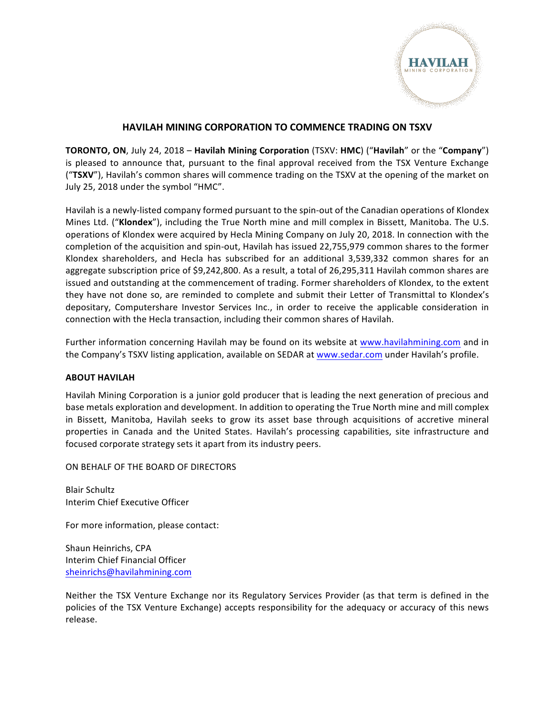

## **HAVILAH MINING CORPORATION TO COMMENCE TRADING ON TSXV**

**TORONTO, ON**, July 24, 2018 – **Havilah Mining Corporation** (TSXV: **HMC**) ("Havilah" or the "Company") is pleased to announce that, pursuant to the final approval received from the TSX Venture Exchange ("TSXV"), Havilah's common shares will commence trading on the TSXV at the opening of the market on July 25, 2018 under the symbol "HMC".

Havilah is a newly-listed company formed pursuant to the spin-out of the Canadian operations of Klondex Mines Ltd. ("Klondex"), including the True North mine and mill complex in Bissett, Manitoba. The U.S. operations of Klondex were acquired by Hecla Mining Company on July 20, 2018. In connection with the completion of the acquisition and spin-out, Havilah has issued 22,755,979 common shares to the former Klondex shareholders, and Hecla has subscribed for an additional 3,539,332 common shares for an aggregate subscription price of \$9,242,800. As a result, a total of 26,295,311 Havilah common shares are issued and outstanding at the commencement of trading. Former shareholders of Klondex, to the extent they have not done so, are reminded to complete and submit their Letter of Transmittal to Klondex's depositary, Computershare Investor Services Inc., in order to receive the applicable consideration in connection with the Hecla transaction, including their common shares of Havilah.

Further information concerning Havilah may be found on its website at www.havilahmining.com and in the Company's TSXV listing application, available on SEDAR at www.sedar.com under Havilah's profile.

## **ABOUT HAVILAH**

Havilah Mining Corporation is a junior gold producer that is leading the next generation of precious and base metals exploration and development. In addition to operating the True North mine and mill complex in Bissett, Manitoba, Havilah seeks to grow its asset base through acquisitions of accretive mineral properties in Canada and the United States. Havilah's processing capabilities, site infrastructure and focused corporate strategy sets it apart from its industry peers.

ON BEHALF OF THE BOARD OF DIRECTORS

Blair Schultz Interim Chief Executive Officer

For more information, please contact:

Shaun Heinrichs, CPA Interim Chief Financial Officer sheinrichs@havilahmining.com

Neither the TSX Venture Exchange nor its Regulatory Services Provider (as that term is defined in the policies of the TSX Venture Exchange) accepts responsibility for the adequacy or accuracy of this news release.